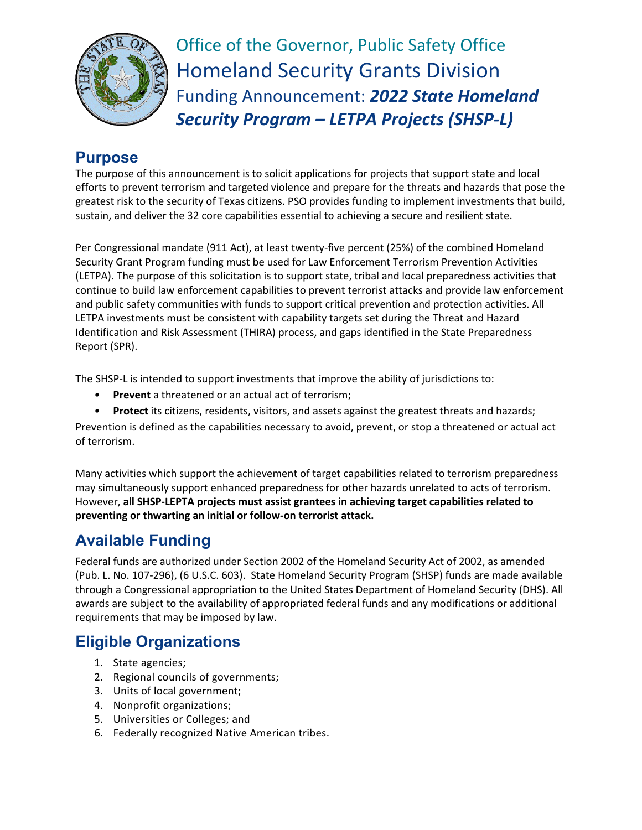

Office of the Governor, Public Safety Office Homeland Security Grants Division Funding Announcement: *2022 State Homeland Security Program – LETPA Projects (SHSP-L)*

### **Purpose**

The purpose of this announcement is to solicit applications for projects that support state and local efforts to prevent terrorism and targeted violence and prepare for the threats and hazards that pose the greatest risk to the security of Texas citizens. PSO provides funding to implement investments that build, sustain, and deliver the 32 core capabilities essential to achieving a secure and resilient state.

Per Congressional mandate (911 Act), at least twenty-five percent (25%) of the combined Homeland Security Grant Program funding must be used for Law Enforcement Terrorism Prevention Activities (LETPA). The purpose of this solicitation is to support state, tribal and local preparedness activities that continue to build law enforcement capabilities to prevent terrorist attacks and provide law enforcement and public safety communities with funds to support critical prevention and protection activities. All LETPA investments must be consistent with capability targets set during the Threat and Hazard Identification and Risk Assessment (THIRA) process, and gaps identified in the State Preparedness Report (SPR).

The SHSP-L is intended to support investments that improve the ability of jurisdictions to:

- **Prevent** a threatened or an actual act of terrorism;
- **Protect** its citizens, residents, visitors, and assets against the greatest threats and hazards;

Prevention is defined as the capabilities necessary to avoid, prevent, or stop a threatened or actual act of terrorism.

Many activities which support the achievement of target capabilities related to terrorism preparedness may simultaneously support enhanced preparedness for other hazards unrelated to acts of terrorism. However, **all SHSP-LEPTA projects must assist grantees in achieving target capabilities related to preventing or thwarting an initial or follow-on terrorist attack.**

# **Available Funding**

Federal funds are authorized under Section 2002 of the Homeland Security Act of 2002, as amended (Pub. L. No. 107-296), (6 U.S.C. 603). State Homeland Security Program (SHSP) funds are made available through a Congressional appropriation to the United States Department of Homeland Security (DHS). All awards are subject to the availability of appropriated federal funds and any modifications or additional requirements that may be imposed by law.

# **Eligible Organizations**

- 1. State agencies;
- 2. Regional councils of governments;
- 3. Units of local government;
- 4. Nonprofit organizations;
- 5. Universities or Colleges; and
- 6. Federally recognized Native American tribes.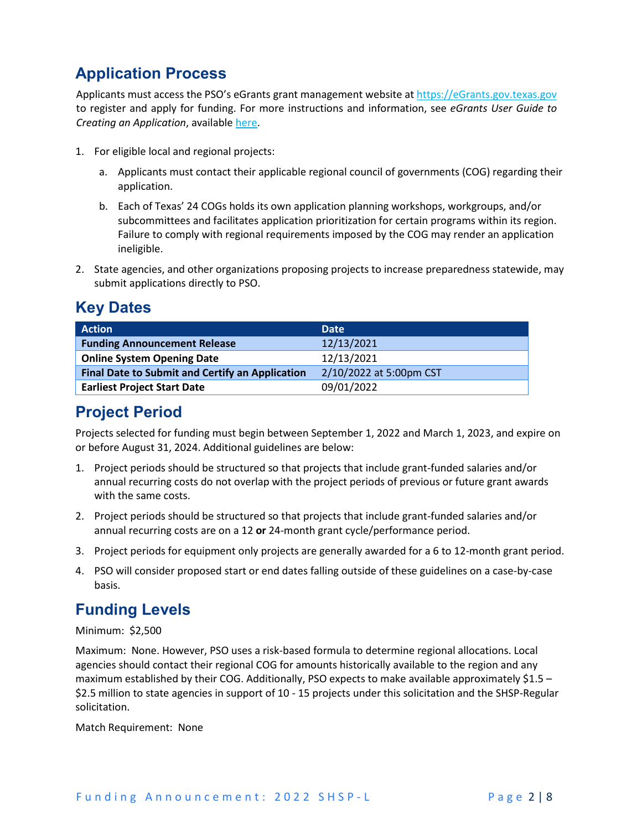# **Application Process**

Applicants must access the PSO's eGrants grant management website a[t https://eGrants.gov.texas.gov](https://egrants.gov.texas.gov/) to register and apply for funding. For more instructions and information, see *eGrants User Guide to Creating an Application*, available [here.](https://egrants.gov.texas.gov/fundopp.aspx?name=eGrants_Guide_to_Creating_an_Application_12.2020.pdf&type=2)

- 1. For eligible local and regional projects:
	- a. Applicants must contact their applicable regional council of governments (COG) regarding their application.
	- b. Each of Texas' 24 COGs holds its own application planning workshops, workgroups, and/or subcommittees and facilitates application prioritization for certain programs within its region. Failure to comply with regional requirements imposed by the COG may render an application ineligible.
- 2. State agencies, and other organizations proposing projects to increase preparedness statewide, may submit applications directly to PSO.

### **Key Dates**

| <b>Action</b>                                          | <b>Date</b>             |
|--------------------------------------------------------|-------------------------|
| <b>Funding Announcement Release</b>                    | 12/13/2021              |
| <b>Online System Opening Date</b>                      | 12/13/2021              |
| <b>Final Date to Submit and Certify an Application</b> | 2/10/2022 at 5:00pm CST |
| <b>Earliest Project Start Date</b>                     | 09/01/2022              |

### **Project Period**

Projects selected for funding must begin between September 1, 2022 and March 1, 2023, and expire on or before August 31, 2024. Additional guidelines are below:

- 1. Project periods should be structured so that projects that include grant-funded salaries and/or annual recurring costs do not overlap with the project periods of previous or future grant awards with the same costs.
- 2. Project periods should be structured so that projects that include grant-funded salaries and/or annual recurring costs are on a 12 **or** 24-month grant cycle/performance period.
- 3. Project periods for equipment only projects are generally awarded for a 6 to 12-month grant period.
- 4. PSO will consider proposed start or end dates falling outside of these guidelines on a case-by-case basis.

### **Funding Levels**

#### Minimum: \$2,500

Maximum: None. However, PSO uses a risk-based formula to determine regional allocations. Local agencies should contact their regional COG for amounts historically available to the region and any maximum established by their COG. Additionally, PSO expects to make available approximately \$1.5 – \$2.5 million to state agencies in support of 10 - 15 projects under this solicitation and the SHSP-Regular solicitation.

Match Requirement: None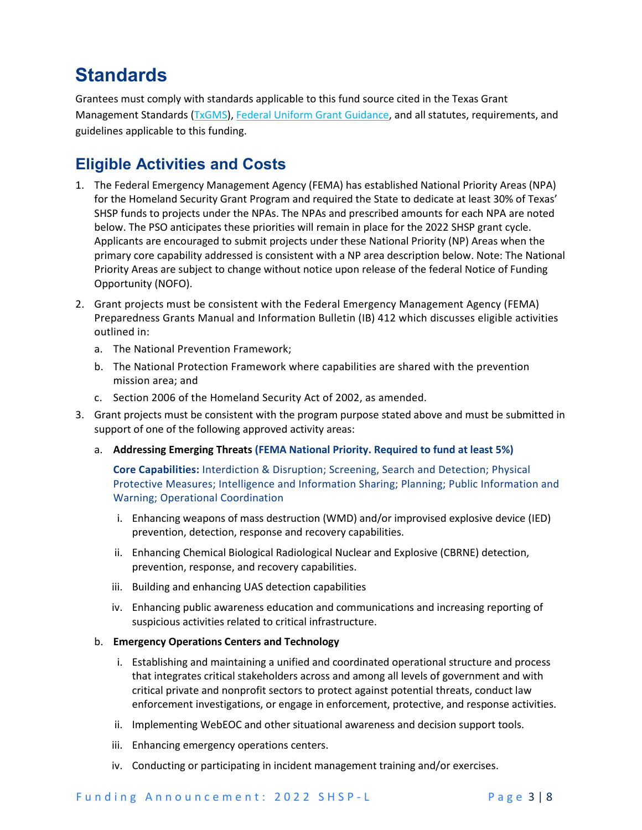# **Standards**

Grantees must comply with standards applicable to this fund source cited in the Texas Grant Management Standards [\(TxGMS\)](https://comptroller.texas.gov/purchasing/grant-management/), [Federal Uniform Grant Guidance,](https://www.ecfr.gov/current/title-2/subtitle-A/chapter-II/part-200?toc=1) and all statutes, requirements, and guidelines applicable to this funding.

### **Eligible Activities and Costs**

- 1. The Federal Emergency Management Agency (FEMA) has established National Priority Areas (NPA) for the Homeland Security Grant Program and required the State to dedicate at least 30% of Texas' SHSP funds to projects under the NPAs. The NPAs and prescribed amounts for each NPA are noted below. The PSO anticipates these priorities will remain in place for the 2022 SHSP grant cycle. Applicants are encouraged to submit projects under these National Priority (NP) Areas when the primary core capability addressed is consistent with a NP area description below. Note: The National Priority Areas are subject to change without notice upon release of the federal Notice of Funding Opportunity (NOFO).
- 2. Grant projects must be consistent with the Federal Emergency Management Agency (FEMA) Preparedness Grants Manual and Information Bulletin (IB) 412 which discusses eligible activities outlined in:
	- a. The National Prevention Framework;
	- b. The National Protection Framework where capabilities are shared with the prevention mission area; and
	- c. Section 2006 of the Homeland Security Act of 2002, as amended.
- 3. Grant projects must be consistent with the program purpose stated above and must be submitted in support of one of the following approved activity areas:
	- a. **Addressing Emerging Threats (FEMA National Priority. Required to fund at least 5%)**

**Core Capabilities:** Interdiction & Disruption; Screening, Search and Detection; Physical Protective Measures; Intelligence and Information Sharing; Planning; Public Information and Warning; Operational Coordination

- i. Enhancing weapons of mass destruction (WMD) and/or improvised explosive device (IED) prevention, detection, response and recovery capabilities.
- ii. Enhancing Chemical Biological Radiological Nuclear and Explosive (CBRNE) detection, prevention, response, and recovery capabilities.
- iii. Building and enhancing UAS detection capabilities
- iv. Enhancing public awareness education and communications and increasing reporting of suspicious activities related to critical infrastructure.

#### b. **Emergency Operations Centers and Technology**

- i. Establishing and maintaining a unified and coordinated operational structure and process that integrates critical stakeholders across and among all levels of government and with critical private and nonprofit sectors to protect against potential threats, conduct law enforcement investigations, or engage in enforcement, protective, and response activities.
- ii. Implementing WebEOC and other situational awareness and decision support tools.
- iii. Enhancing emergency operations centers.
- iv. Conducting or participating in incident management training and/or exercises.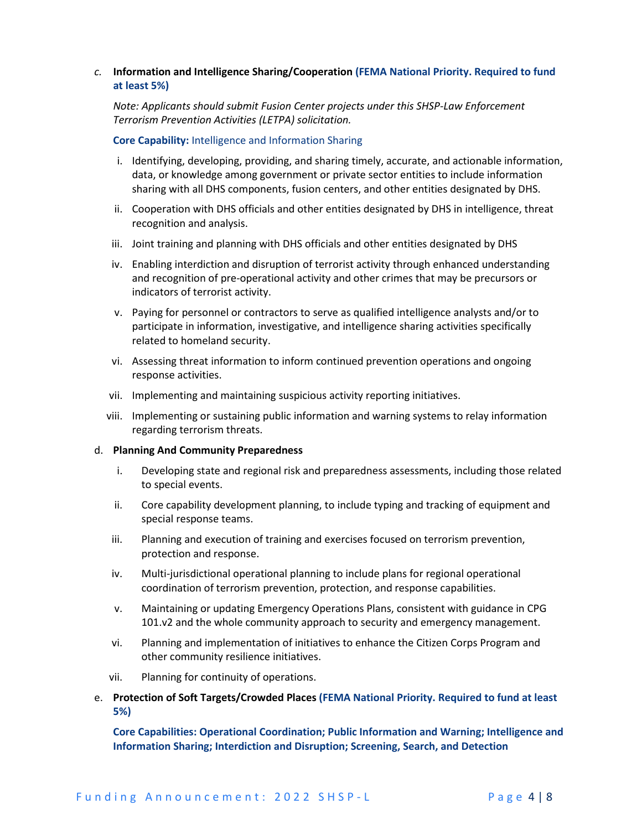#### *c.* **Information and Intelligence Sharing/Cooperation (FEMA National Priority. Required to fund at least 5%)**

*Note: Applicants should submit Fusion Center projects under this SHSP-Law Enforcement Terrorism Prevention Activities (LETPA) solicitation.*

**Core Capability:** Intelligence and Information Sharing

- i. Identifying, developing, providing, and sharing timely, accurate, and actionable information, data, or knowledge among government or private sector entities to include information sharing with all DHS components, fusion centers, and other entities designated by DHS.
- ii. Cooperation with DHS officials and other entities designated by DHS in intelligence, threat recognition and analysis.
- iii. Joint training and planning with DHS officials and other entities designated by DHS
- iv. Enabling interdiction and disruption of terrorist activity through enhanced understanding and recognition of pre-operational activity and other crimes that may be precursors or indicators of terrorist activity.
- v. Paying for personnel or contractors to serve as qualified intelligence analysts and/or to participate in information, investigative, and intelligence sharing activities specifically related to homeland security.
- vi. Assessing threat information to inform continued prevention operations and ongoing response activities.
- vii. Implementing and maintaining suspicious activity reporting initiatives.
- viii. Implementing or sustaining public information and warning systems to relay information regarding terrorism threats.

#### d. **Planning And Community Preparedness**

- i. Developing state and regional risk and preparedness assessments, including those related to special events.
- ii. Core capability development planning, to include typing and tracking of equipment and special response teams.
- iii. Planning and execution of training and exercises focused on terrorism prevention, protection and response.
- iv. Multi-jurisdictional operational planning to include plans for regional operational coordination of terrorism prevention, protection, and response capabilities.
- v. Maintaining or updating Emergency Operations Plans, consistent with guidance in CPG 101.v2 and the whole community approach to security and emergency management.
- vi. Planning and implementation of initiatives to enhance the Citizen Corps Program and other community resilience initiatives.
- vii. Planning for continuity of operations.
- e. **Protection of Soft Targets/Crowded Places (FEMA National Priority. Required to fund at least 5%)**

**Core Capabilities: Operational Coordination; Public Information and Warning; Intelligence and Information Sharing; Interdiction and Disruption; Screening, Search, and Detection**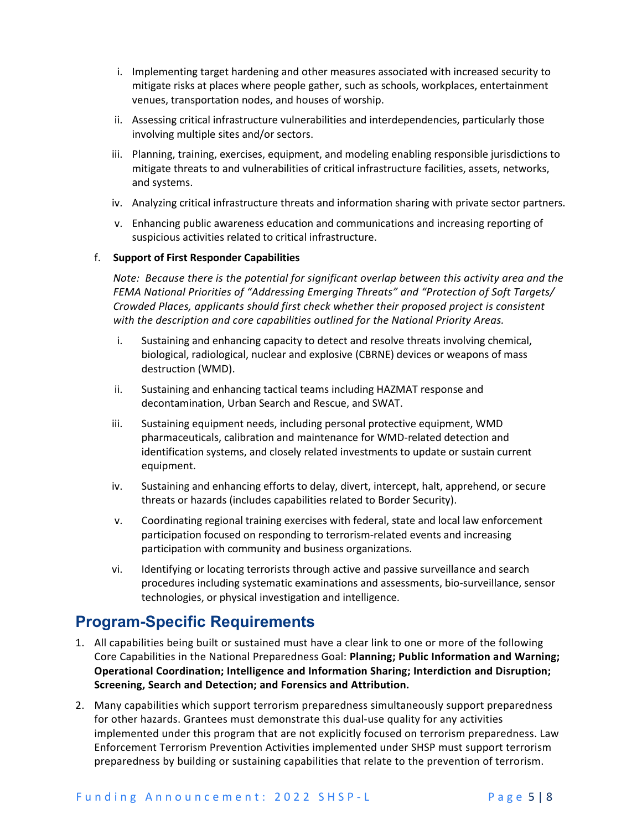- i. Implementing target hardening and other measures associated with increased security to mitigate risks at places where people gather, such as schools, workplaces, entertainment venues, transportation nodes, and houses of worship.
- ii. Assessing critical infrastructure vulnerabilities and interdependencies, particularly those involving multiple sites and/or sectors.
- iii. Planning, training, exercises, equipment, and modeling enabling responsible jurisdictions to mitigate threats to and vulnerabilities of critical infrastructure facilities, assets, networks, and systems.
- iv. Analyzing critical infrastructure threats and information sharing with private sector partners.
- v. Enhancing public awareness education and communications and increasing reporting of suspicious activities related to critical infrastructure.

#### f. **Support of First Responder Capabilities**

*Note: Because there is the potential for significant overlap between this activity area and the FEMA National Priorities of "Addressing Emerging Threats" and "Protection of Soft Targets/ Crowded Places, applicants should first check whether their proposed project is consistent with the description and core capabilities outlined for the National Priority Areas.*

- i. Sustaining and enhancing capacity to detect and resolve threats involving chemical, biological, radiological, nuclear and explosive (CBRNE) devices or weapons of mass destruction (WMD).
- ii. Sustaining and enhancing tactical teams including HAZMAT response and decontamination, Urban Search and Rescue, and SWAT.
- iii. Sustaining equipment needs, including personal protective equipment, WMD pharmaceuticals, calibration and maintenance for WMD-related detection and identification systems, and closely related investments to update or sustain current equipment.
- iv. Sustaining and enhancing efforts to delay, divert, intercept, halt, apprehend, or secure threats or hazards (includes capabilities related to Border Security).
- v. Coordinating regional training exercises with federal, state and local law enforcement participation focused on responding to terrorism-related events and increasing participation with community and business organizations.
- vi. Identifying or locating terrorists through active and passive surveillance and search procedures including systematic examinations and assessments, bio-surveillance, sensor technologies, or physical investigation and intelligence.

### **Program-Specific Requirements**

- 1. All capabilities being built or sustained must have a clear link to one or more of the following Core Capabilities in the National Preparedness Goal: **Planning; Public Information and Warning; Operational Coordination; Intelligence and Information Sharing; Interdiction and Disruption; Screening, Search and Detection; and Forensics and Attribution.**
- 2. Many capabilities which support terrorism preparedness simultaneously support preparedness for other hazards. Grantees must demonstrate this dual-use quality for any activities implemented under this program that are not explicitly focused on terrorism preparedness. Law Enforcement Terrorism Prevention Activities implemented under SHSP must support terrorism preparedness by building or sustaining capabilities that relate to the prevention of terrorism.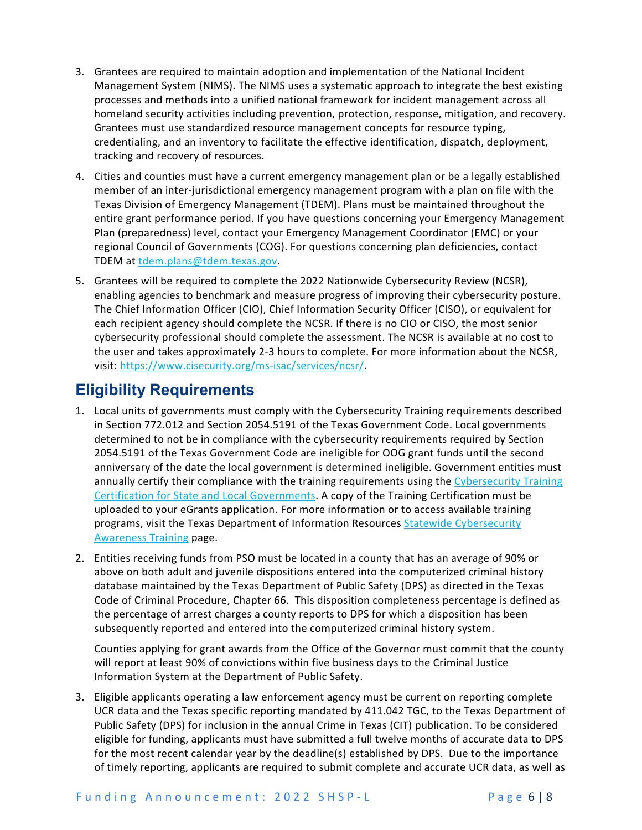- 3. Grantees are required to maintain adoption and implementation of the National Incident Management System (NIMS). The NIMS uses a systematic approach to integrate the best existing processes and methods into a unified national framework for incident management across all homeland security activities including prevention, protection, response, mitigation, and recovery. Grantees must use standardized resource management concepts for resource typing, credentialing, and an inventory to facilitate the effective identification, dispatch, deployment, tracking and recovery of resources.
- 4. Cities and counties must have a current emergency management plan or be a legally established member of an inter-jurisdictional emergency management program with a plan on file with the Texas Division of Emergency Management (TDEM). Plans must be maintained throughout the entire grant performance period. If you have questions concerning your Emergency Management Plan (preparedness) level, contact your Emergency Management Coordinator (EMC) or your regional Council of Governments (COG). For questions concerning plan deficiencies, contact TDEM at [tdem.plans@tdem.texas.gov.](mailto:tdem.plans@tdem.texas.gov)
- 5. Grantees will be required to complete the 2022 Nationwide Cybersecurity Review (NCSR), enabling agencies to benchmark and measure progress of improving their cybersecurity posture. The Chief Information Officer (CIO), Chief Information Security Officer (CISO), or equivalent for each recipient agency should complete the NCSR. If there is no CIO or CISO, the most senior cybersecurity professional should complete the assessment. The NCSR is available at no cost to the user and takes approximately 2-3 hours to complete. For more information about the NCSR, visit: [https://www.cisecurity.org/ms-isac/services/ncsr/.](https://www.cisecurity.org/ms-isac/services/ncsr/)

# **Eligibility Requirements**

- 1. Local units of governments must comply with the Cybersecurity Training requirements described in Section 772.012 and Section 2054.5191 of the Texas Government Code. Local governments determined to not be in compliance with the cybersecurity requirements required by Section 2054.5191 of the Texas Government Code are ineligible for OOG grant funds until the second anniversary of the date the local government is determined ineligible. Government entities must annually certify their compliance with the training requirements using the Cybersecurity Training [Certification for State and Local Governments.](https://dircommunity.force.com/SecurityTrainingVerification/s/CybersecurityTrainingCertification) A copy of the Training Certification must be uploaded to your eGrants application. For more information or to access available training programs, visit the Texas Department of Information Resources Statewide Cybersecurity [Awareness Training](https://dir.texas.gov/information-security/statewide-cybersecurity-awareness-training) page.
- 2. Entities receiving funds from PSO must be located in a county that has an average of 90% or above on both adult and juvenile dispositions entered into the computerized criminal history database maintained by the Texas Department of Public Safety (DPS) as directed in the Texas Code of Criminal Procedure, Chapter 66. This disposition completeness percentage is defined as the percentage of arrest charges a county reports to DPS for which a disposition has been subsequently reported and entered into the computerized criminal history system.

Counties applying for grant awards from the Office of the Governor must commit that the county will report at least 90% of convictions within five business days to the Criminal Justice Information System at the Department of Public Safety.

3. Eligible applicants operating a law enforcement agency must be current on reporting complete UCR data and the Texas specific reporting mandated by 411.042 TGC, to the Texas Department of Public Safety (DPS) for inclusion in the annual Crime in Texas (CIT) publication. To be considered eligible for funding, applicants must have submitted a full twelve months of accurate data to DPS for the most recent calendar year by the deadline(s) established by DPS. Due to the importance of timely reporting, applicants are required to submit complete and accurate UCR data, as well as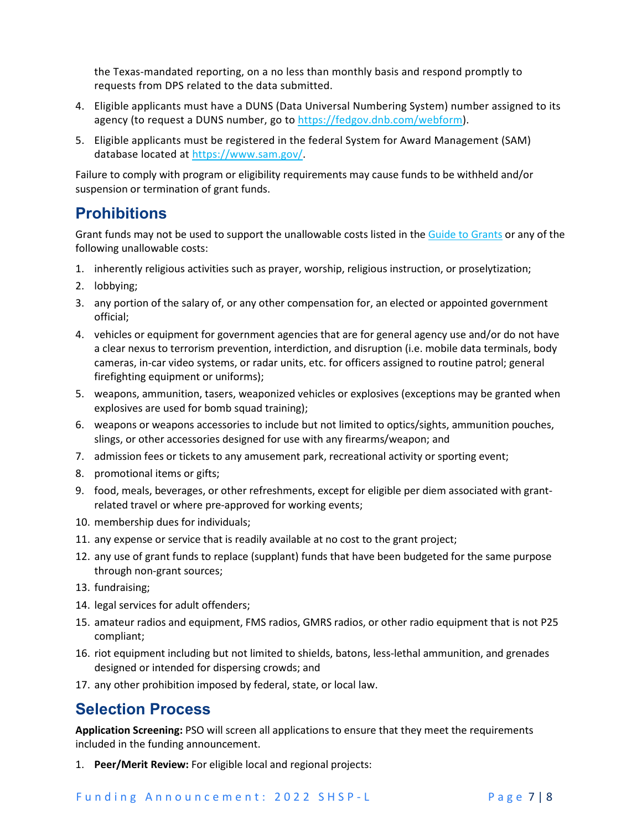the Texas-mandated reporting, on a no less than monthly basis and respond promptly to requests from DPS related to the data submitted.

- 4. Eligible applicants must have a DUNS (Data Universal Numbering System) number assigned to its agency (to request a DUNS number, go to [https://fedgov.dnb.com/webform\)](https://fedgov.dnb.com/webform).
- 5. Eligible applicants must be registered in the federal System for Award Management (SAM) database located at [https://www.sam.gov/.](https://www.sam.gov/)

Failure to comply with program or eligibility requirements may cause funds to be withheld and/or suspension or termination of grant funds.

### **Prohibitions**

Grant funds may not be used to support the unallowable costs listed in th[e Guide to Grants](https://egrants.gov.texas.gov/fundopp.aspx?name=2021%20Guide%20to%20Grants.pdf&type=2) or any of the following unallowable costs:

- 1. inherently religious activities such as prayer, worship, religious instruction, or proselytization;
- 2. lobbying;
- 3. any portion of the salary of, or any other compensation for, an elected or appointed government official;
- 4. vehicles or equipment for government agencies that are for general agency use and/or do not have a clear nexus to terrorism prevention, interdiction, and disruption (i.e. mobile data terminals, body cameras, in-car video systems, or radar units, etc. for officers assigned to routine patrol; general firefighting equipment or uniforms);
- 5. weapons, ammunition, tasers, weaponized vehicles or explosives (exceptions may be granted when explosives are used for bomb squad training);
- 6. weapons or weapons accessories to include but not limited to optics/sights, ammunition pouches, slings, or other accessories designed for use with any firearms/weapon; and
- 7. admission fees or tickets to any amusement park, recreational activity or sporting event;
- 8. promotional items or gifts;
- 9. food, meals, beverages, or other refreshments, except for eligible per diem associated with grantrelated travel or where pre-approved for working events;
- 10. membership dues for individuals;
- 11. any expense or service that is readily available at no cost to the grant project;
- 12. any use of grant funds to replace (supplant) funds that have been budgeted for the same purpose through non-grant sources;
- 13. fundraising;
- 14. legal services for adult offenders;
- 15. amateur radios and equipment, FMS radios, GMRS radios, or other radio equipment that is not P25 compliant;
- 16. riot equipment including but not limited to shields, batons, less-lethal ammunition, and grenades designed or intended for dispersing crowds; and
- 17. any other prohibition imposed by federal, state, or local law.

### **Selection Process**

**Application Screening:** PSO will screen all applications to ensure that they meet the requirements included in the funding announcement.

1. **Peer/Merit Review:** For eligible local and regional projects: